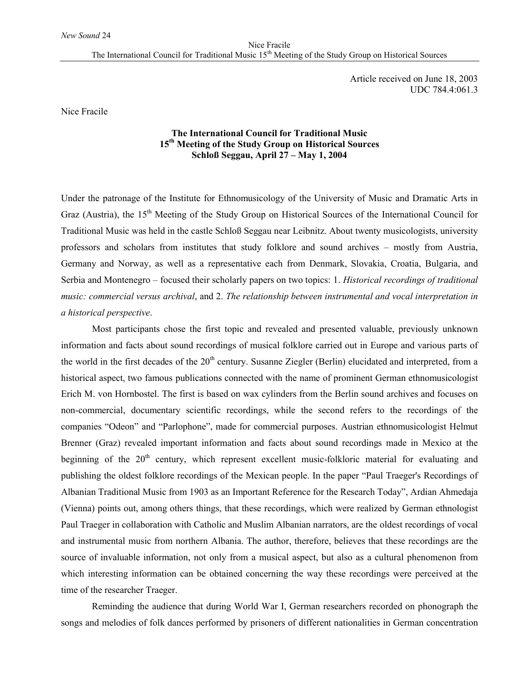Article received on June 18, 2003 UDC 784.4:061.3

Nice Fracile

## **The International Council for Traditional Music 15th Meeting of the Study Group on Historical Sources Schloß Seggau, April 27 – May 1, 2004**

Under the patronage of the Institute for Ethnomusicology of the University of Music and Dramatic Arts in Graz (Austria), the 15<sup>th</sup> Meeting of the Study Group on Historical Sources of the International Council for Traditional Music was held in the castle Schloß Seggau near Leibnitz. About twenty musicologists, university professors and scholars from institutes that study folklore and sound archives – mostly from Austria, Germany and Norway, as well as a representative each from Denmark, Slovakia, Croatia, Bulgaria, and Serbia and Montenegro – focused their scholarly papers on two topics: 1. *Historical recordings of traditional music: commercial versus archival*, and 2. *The relationship between instrumental and vocal interpretation in a historical perspective*.

Most participants chose the first topic and revealed and presented valuable, previously unknown information and facts about sound recordings of musical folklore carried out in Europe and various parts of the world in the first decades of the  $20<sup>th</sup>$  century. Susanne Ziegler (Berlin) elucidated and interpreted, from a historical aspect, two famous publications connected with the name of prominent German ethnomusicologist Erich M. von Hornbostel. The first is based on wax cylinders from the Berlin sound archives and focuses on non-commercial, documentary scientific recordings, while the second refers to the recordings of the companies "Odeon" and "Parlophone", made for commercial purposes. Austrian ethnomusicologist Helmut Brenner (Graz) revealed important information and facts about sound recordings made in Mexico at the beginning of the  $20<sup>th</sup>$  century, which represent excellent music-folkloric material for evaluating and publishing the oldest folklore recordings of the Mexican people. In the paper "Paul Traeger's Recordings of Albanian Traditional Music from 1903 as an Important Reference for the Research Today", Ardian Ahmedaja (Vienna) points out, among others things, that these recordings, which were realized by German ethnologist Paul Traeger in collaboration with Catholic and Muslim Albanian narrators, are the oldest recordings of vocal and instrumental music from northern Albania. The author, therefore, believes that these recordings are the source of invaluable information, not only from a musical aspect, but also as a cultural phenomenon from which interesting information can be obtained concerning the way these recordings were perceived at the time of the researcher Traeger.

Reminding the audience that during World War I, German researchers recorded on phonograph the songs and melodies of folk dances performed by prisoners of different nationalities in German concentration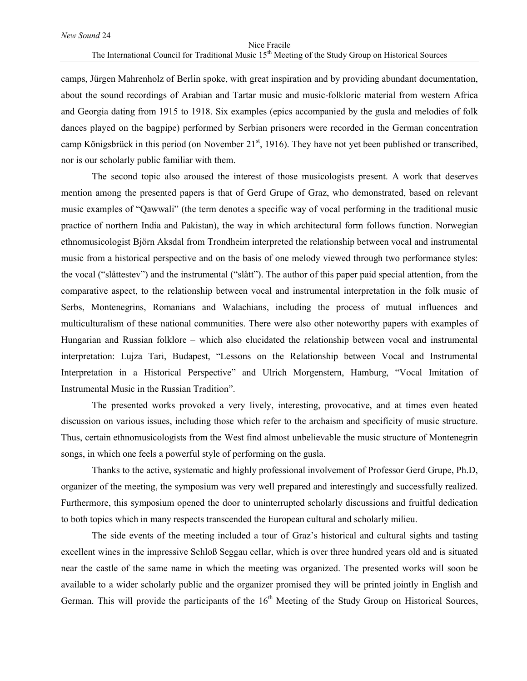## Nice Fracile The International Council for Traditional Music 15<sup>th</sup> Meeting of the Study Group on Historical Sources

camps, Jürgen Mahrenholz of Berlin spoke, with great inspiration and by providing abundant documentation, about the sound recordings of Arabian and Tartar music and music-folkloric material from western Africa and Georgia dating from 1915 to 1918. Six examples (epics accompanied by the gusla and melodies of folk dances played on the bagpipe) performed by Serbian prisoners were recorded in the German concentration camp Königsbrück in this period (on November 21<sup>st</sup>, 1916). They have not yet been published or transcribed, nor is our scholarly public familiar with them.

The second topic also aroused the interest of those musicologists present. A work that deserves mention among the presented papers is that of Gerd Grupe of Graz, who demonstrated, based on relevant music examples of "Qawwali" (the term denotes a specific way of vocal performing in the traditional music practice of northern India and Pakistan), the way in which architectural form follows function. Norwegian ethnomusicologist Björn Aksdal from Trondheim interpreted the relationship between vocal and instrumental music from a historical perspective and on the basis of one melody viewed through two performance styles: the vocal ("slåttestev") and the instrumental ("slått"). The author of this paper paid special attention, from the comparative aspect, to the relationship between vocal and instrumental interpretation in the folk music of Serbs, Montenegrins, Romanians and Walachians, including the process of mutual influences and multiculturalism of these national communities. There were also other noteworthy papers with examples of Hungarian and Russian folklore – which also elucidated the relationship between vocal and instrumental interpretation: Lujza Tari, Budapest, "Lessons on the Relationship between Vocal and Instrumental Interpretation in a Historical Perspective" and Ulrich Morgenstern, Hamburg, "Vocal Imitation of Instrumental Music in the Russian Tradition".

The presented works provoked a very lively, interesting, provocative, and at times even heated discussion on various issues, including those which refer to the archaism and specificity of music structure. Thus, certain ethnomusicologists from the West find almost unbelievable the music structure of Montenegrin songs, in which one feels a powerful style of performing on the gusla.

Thanks to the active, systematic and highly professional involvement of Professor Gerd Grupe, Ph.D, organizer of the meeting, the symposium was very well prepared and interestingly and successfully realized. Furthermore, this symposium opened the door to uninterrupted scholarly discussions and fruitful dedication to both topics which in many respects transcended the European cultural and scholarly milieu.

The side events of the meeting included a tour of Graz's historical and cultural sights and tasting excellent wines in the impressive Schloß Seggau cellar, which is over three hundred years old and is situated near the castle of the same name in which the meeting was organized. The presented works will soon be available to a wider scholarly public and the organizer promised they will be printed jointly in English and German. This will provide the participants of the  $16<sup>th</sup>$  Meeting of the Study Group on Historical Sources,